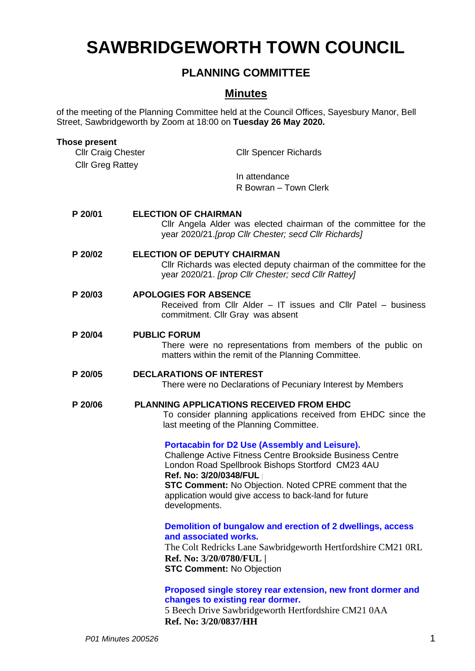# **SAWBRIDGEWORTH TOWN COUNCIL**

# **PLANNING COMMITTEE**

## **Minutes**

of the meeting of the Planning Committee held at the Council Offices, Sayesbury Manor, Bell Street, Sawbridgeworth by Zoom at 18:00 on **Tuesday 26 May 2020.**

| <b>Those present</b><br><b>Cllr Craig Chester</b> | <b>Cllr Spencer Richards</b>                                                                                                                                                                                                                                                                                                  |
|---------------------------------------------------|-------------------------------------------------------------------------------------------------------------------------------------------------------------------------------------------------------------------------------------------------------------------------------------------------------------------------------|
| <b>Cllr Greg Rattey</b>                           |                                                                                                                                                                                                                                                                                                                               |
|                                                   | In attendance<br>R Bowran - Town Clerk                                                                                                                                                                                                                                                                                        |
| P 20/01                                           | <b>ELECTION OF CHAIRMAN</b><br>Cllr Angela Alder was elected chairman of the committee for the<br>year 2020/21.[prop Cllr Chester; secd Cllr Richards]                                                                                                                                                                        |
| P 20/02                                           | <b>ELECTION OF DEPUTY CHAIRMAN</b><br>Cllr Richards was elected deputy chairman of the committee for the<br>year 2020/21. [prop Cllr Chester; secd Cllr Rattey]                                                                                                                                                               |
| P 20/03                                           | <b>APOLOGIES FOR ABSENCE</b><br>Received from Cllr Alder - IT issues and Cllr Patel - business<br>commitment. Cllr Gray was absent                                                                                                                                                                                            |
| P 20/04                                           | <b>PUBLIC FORUM</b><br>There were no representations from members of the public on<br>matters within the remit of the Planning Committee.                                                                                                                                                                                     |
| P 20/05                                           | <b>DECLARATIONS OF INTEREST</b><br>There were no Declarations of Pecuniary Interest by Members                                                                                                                                                                                                                                |
| P 20/06                                           | PLANNING APPLICATIONS RECEIVED FROM EHDC<br>To consider planning applications received from EHDC since the<br>last meeting of the Planning Committee.                                                                                                                                                                         |
|                                                   | Portacabin for D2 Use (Assembly and Leisure).<br>Challenge Active Fitness Centre Brookside Business Centre<br>London Road Spellbrook Bishops Stortford CM23 4AU<br>Ref. No: 3/20/0348/FUL<br>STC Comment: No Objection. Noted CPRE comment that the<br>application would give access to back-land for future<br>developments. |
|                                                   | Demolition of bungalow and erection of 2 dwellings, access<br>and associated works.<br>The Colt Redricks Lane Sawbridgeworth Hertfordshire CM21 0RL<br>Ref. No: 3/20/0780/FUL  <br><b>STC Comment: No Objection</b>                                                                                                           |
|                                                   | Proposed single storey rear extension, new front dormer and<br>changes to existing rear dormer.<br>5 Beech Drive Sawbridgeworth Hertfordshire CM21 0AA                                                                                                                                                                        |

**Ref. No: 3/20/0837/HH**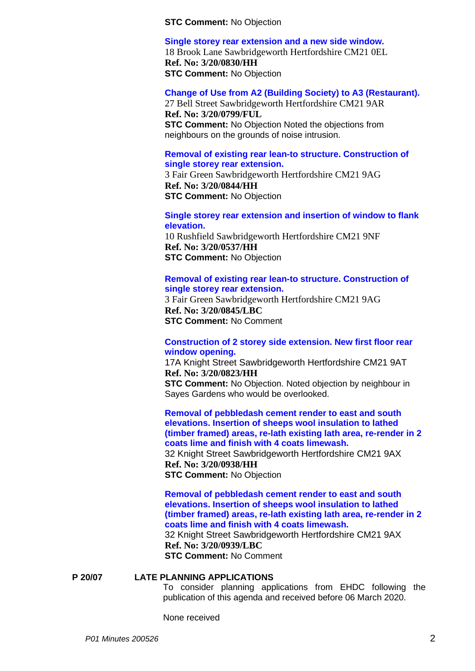**STC Comment:** No Objection

**[Single storey rear extension and a new side window.](https://publicaccess.eastherts.gov.uk/online-applications/applicationDetails.do?activeTab=summary&keyVal=Q9LWG6GLGL400&prevPage=inTray)**

18 Brook Lane Sawbridgeworth Hertfordshire CM21 0EL **Ref. No: 3/20/0830/HH STC Comment:** No Objection

## **[Change of Use from A2 \(Building Society\) to A3 \(Restaurant\).](https://publicaccess.eastherts.gov.uk/online-applications/applicationDetails.do?activeTab=summary&keyVal=Q9C0U4GLGIG00&prevPage=inTray)**

27 Bell Street Sawbridgeworth Hertfordshire CM21 9AR **Ref. No: 3/20/0799/FUL STC Comment:** No Objection Noted the objections from neighbours on the grounds of noise intrusion.

## **[Removal of existing rear lean-to structure. Construction of](https://publicaccess.eastherts.gov.uk/online-applications/applicationDetails.do?activeTab=summary&keyVal=Q9NR56GLGM600&prevPage=inTray)  [single storey rear extension.](https://publicaccess.eastherts.gov.uk/online-applications/applicationDetails.do?activeTab=summary&keyVal=Q9NR56GLGM600&prevPage=inTray)**

3 Fair Green Sawbridgeworth Hertfordshire CM21 9AG **Ref. No: 3/20/0844/HH STC Comment:** No Objection

### **[Single storey rear extension and insertion of window to flank](https://publicaccess.eastherts.gov.uk/online-applications/applicationDetails.do?activeTab=summary&keyVal=Q70RNWGLFXF00&prevPage=inTray)  [elevation.](https://publicaccess.eastherts.gov.uk/online-applications/applicationDetails.do?activeTab=summary&keyVal=Q70RNWGLFXF00&prevPage=inTray)**

10 Rushfield Sawbridgeworth Hertfordshire CM21 9NF **Ref. No: 3/20/0537/HH STC Comment:** No Objection

## **[Removal of existing rear lean-to structure. Construction of](https://publicaccess.eastherts.gov.uk/online-applications/applicationDetails.do?activeTab=summary&keyVal=Q9NR57GLGM700&prevPage=inTray)  [single storey rear extension.](https://publicaccess.eastherts.gov.uk/online-applications/applicationDetails.do?activeTab=summary&keyVal=Q9NR57GLGM700&prevPage=inTray)**

3 Fair Green Sawbridgeworth Hertfordshire CM21 9AG **Ref. No: 3/20/0845/LBC STC Comment:** No Comment

## **[Construction of 2 storey side extension. New first floor rear](https://publicaccess.eastherts.gov.uk/online-applications/applicationDetails.do?activeTab=summary&keyVal=Q9JQN7GLGKJ00&prevPage=inTray)  [window opening.](https://publicaccess.eastherts.gov.uk/online-applications/applicationDetails.do?activeTab=summary&keyVal=Q9JQN7GLGKJ00&prevPage=inTray)**

17A Knight Street Sawbridgeworth Hertfordshire CM21 9AT **Ref. No: 3/20/0823/HH**

**STC Comment:** No Objection. Noted objection by neighbour in Sayes Gardens who would be overlooked.

**[Removal of pebbledash cement render to east and south](https://publicaccess.eastherts.gov.uk/online-applications/applicationDetails.do?activeTab=summary&keyVal=QAKRZ6GLGUF00&prevPage=inTray) [elevations. Insertion of sheeps wool insulation to lathed](https://publicaccess.eastherts.gov.uk/online-applications/applicationDetails.do?activeTab=summary&keyVal=QAKRZ6GLGUF00&prevPage=inTray)  [\(timber framed\) areas, re-lath existing lath area, re-render in](https://publicaccess.eastherts.gov.uk/online-applications/applicationDetails.do?activeTab=summary&keyVal=QAKRZ6GLGUF00&prevPage=inTray) 2 [coats lime and finish with 4 coats limewash.](https://publicaccess.eastherts.gov.uk/online-applications/applicationDetails.do?activeTab=summary&keyVal=QAKRZ6GLGUF00&prevPage=inTray)** 32 Knight Street Sawbridgeworth Hertfordshire CM21 9AX **Ref. No: 3/20/0938/HH STC Comment:** No Objection

## **[Removal of pebbledash cement render to east and south](https://publicaccess.eastherts.gov.uk/online-applications/applicationDetails.do?activeTab=summary&keyVal=QAKRZ7GLGUG00&prevPage=inTray)  [elevations. Insertion of sheeps wool insulation to lathed](https://publicaccess.eastherts.gov.uk/online-applications/applicationDetails.do?activeTab=summary&keyVal=QAKRZ7GLGUG00&prevPage=inTray)  [\(timber framed\) areas, re-lath existing lath area, re-render in 2](https://publicaccess.eastherts.gov.uk/online-applications/applicationDetails.do?activeTab=summary&keyVal=QAKRZ7GLGUG00&prevPage=inTray)  [coats lime and finish with 4 coats limewash.](https://publicaccess.eastherts.gov.uk/online-applications/applicationDetails.do?activeTab=summary&keyVal=QAKRZ7GLGUG00&prevPage=inTray)**

32 Knight Street Sawbridgeworth Hertfordshire CM21 9AX **Ref. No: 3/20/0939/LBC**

**STC Comment:** No Comment

## **P 20/07 LATE PLANNING APPLICATIONS**

To consider planning applications from EHDC following the publication of this agenda and received before 06 March 2020.

None received